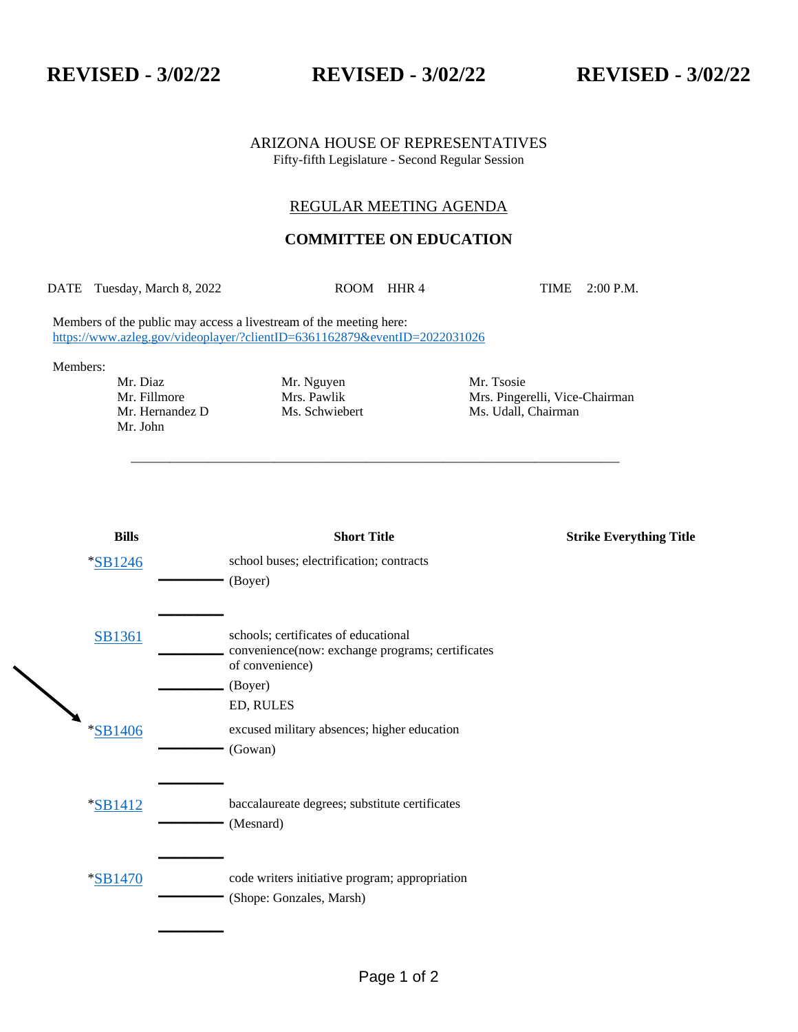**REVISED - 3/02/22 REVISED - 3/02/22 REVISED - 3/02/22**

## ARIZONA HOUSE OF REPRESENTATIVES Fifty-fifth Legislature - Second Regular Session

## REGULAR MEETING AGENDA

## **COMMITTEE ON EDUCATION**

DATE Tuesday, March 8, 2022 ROOM HHR 4 TIME 2:00 P.M.

\_\_\_\_\_\_\_\_\_\_\_\_\_\_\_\_\_\_\_\_\_\_\_\_\_\_\_\_\_\_\_\_\_\_\_\_\_\_\_\_\_\_\_\_\_\_\_\_\_\_\_\_\_\_\_\_\_\_\_\_\_\_\_\_\_\_\_\_\_\_\_\_\_\_\_

Members of the public may access a livestream of the meeting here: <https://www.azleg.gov/videoplayer/?clientID=6361162879&eventID=2022031026>

Members:

Mr. John

Mr. Diaz Mr. Nguyen Mr. Tsosie

Mr. Fillmore Mrs. Pawlik Mrs. Pingerelli, Vice-Chairman Mr. Hernandez D Ms. Schwiebert Ms. Udall, Chairman Ms. Schwiebert Ms. Udall, Chairman

| <b>Bills</b>   | <b>Short Title</b>                                                  | <b>Strike Everything Title</b> |
|----------------|---------------------------------------------------------------------|--------------------------------|
| <i>*SB1246</i> | school buses; electrification; contracts                            |                                |
|                | (Boyer)                                                             |                                |
|                |                                                                     |                                |
| SB1361         | schools; certificates of educational                                |                                |
|                | convenience(now: exchange programs; certificates<br>of convenience) |                                |
|                | (Boyer)                                                             |                                |
|                | ED, RULES                                                           |                                |
| <i>*SB1406</i> | excused military absences; higher education                         |                                |
|                | (Gowan)                                                             |                                |
|                | baccalaureate degrees; substitute certificates                      |                                |
| *SB1412        | (Mesnard)                                                           |                                |
|                |                                                                     |                                |
| <i>*SB1470</i> | code writers initiative program; appropriation                      |                                |
|                | (Shope: Gonzales, Marsh)                                            |                                |
|                |                                                                     |                                |
|                |                                                                     |                                |